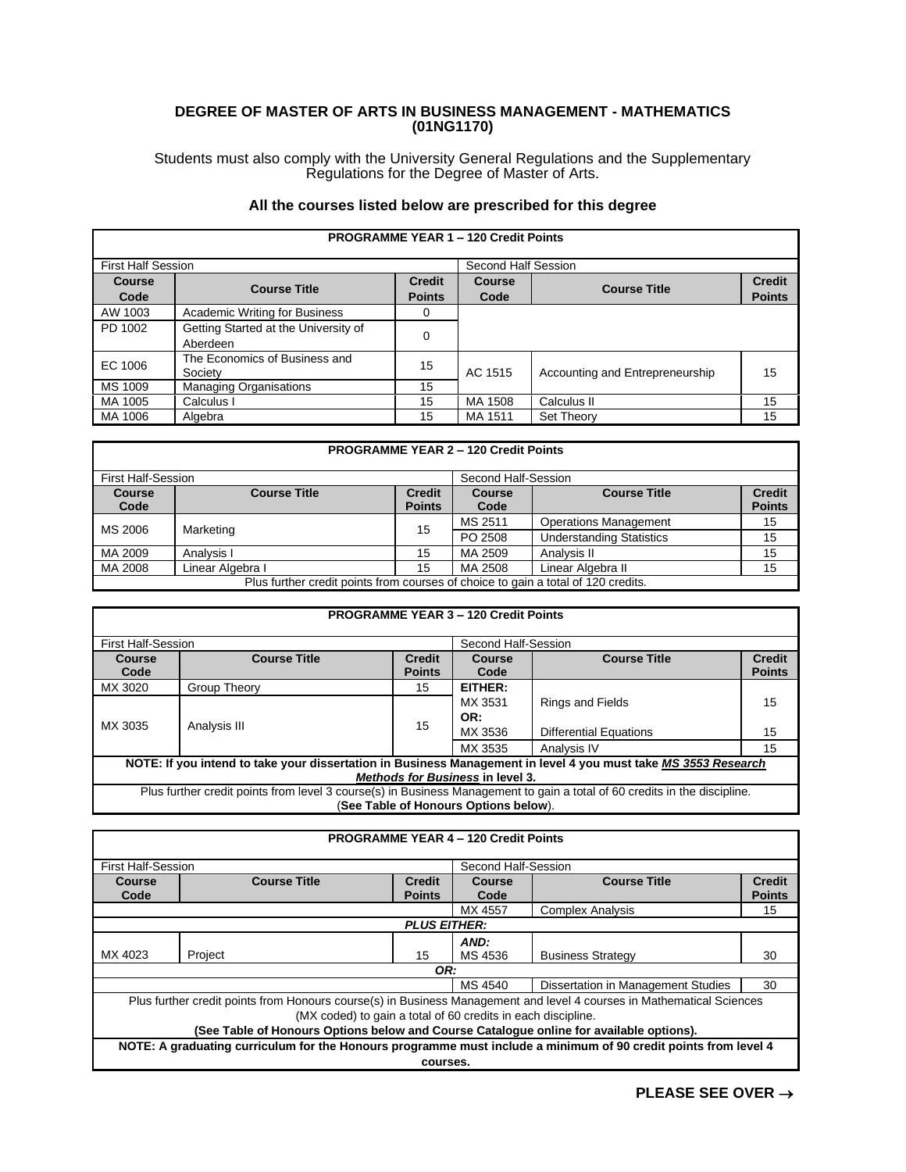## **DEGREE OF MASTER OF ARTS IN BUSINESS MANAGEMENT - MATHEMATICS (01NG1170)**

Students must also comply with the University General Regulations and the Supplementary Regulations for the Degree of Master of Arts.

## **All the courses listed below are prescribed for this degree**

|                           | <b>PROGRAMME YEAR 1 - 120 Credit Points</b>      |                                |                       |                                 |                                |  |
|---------------------------|--------------------------------------------------|--------------------------------|-----------------------|---------------------------------|--------------------------------|--|
| <b>First Half Session</b> |                                                  |                                | Second Half Session   |                                 |                                |  |
| <b>Course</b><br>Code     | <b>Course Title</b>                              | <b>Credit</b><br><b>Points</b> | <b>Course</b><br>Code | <b>Course Title</b>             | <b>Credit</b><br><b>Points</b> |  |
| AW 1003                   | Academic Writing for Business                    | 0                              |                       |                                 |                                |  |
| PD 1002                   | Getting Started at the University of<br>Aberdeen | $\Omega$                       |                       |                                 |                                |  |
| EC 1006                   | The Economics of Business and<br>Society         | 15                             | AC 1515               | Accounting and Entrepreneurship | 15                             |  |
| MS 1009                   | <b>Managing Organisations</b>                    | 15                             |                       |                                 |                                |  |
| MA 1005                   | Calculus I                                       | 15                             | MA 1508               | Calculus II                     | 15                             |  |
| MA 1006                   | Algebra                                          | 15                             | MA 1511               | Set Theory                      | 15                             |  |

|                           | <b>PROGRAMME YEAR 2 - 120 Credit Points</b>                                       |               |                     |                                 |               |  |
|---------------------------|-----------------------------------------------------------------------------------|---------------|---------------------|---------------------------------|---------------|--|
| <b>First Half-Session</b> |                                                                                   |               | Second Half-Session |                                 |               |  |
| <b>Course</b>             | <b>Course Title</b>                                                               | <b>Credit</b> | <b>Course</b>       | <b>Course Title</b>             | <b>Credit</b> |  |
| Code                      |                                                                                   | <b>Points</b> | Code                |                                 | <b>Points</b> |  |
| MS 2006                   |                                                                                   |               | MS 2511             | <b>Operations Management</b>    | 15            |  |
|                           | Marketing                                                                         | 15            | PO 2508             | <b>Understanding Statistics</b> | 15            |  |
| MA 2009                   | Analysis I                                                                        | 15            | MA 2509             | Analysis II                     | 15            |  |
| MA 2008                   | Linear Algebra I                                                                  | 15            | MA 2508             | Linear Algebra II               | 15            |  |
|                           | Plus further credit points from courses of choice to gain a total of 120 credits. |               |                     |                                 |               |  |

|                           |                                                                                                                           |                     | <b>PROGRAMME YEAR 3 - 120 Credit Points</b> |                               |               |
|---------------------------|---------------------------------------------------------------------------------------------------------------------------|---------------------|---------------------------------------------|-------------------------------|---------------|
| <b>First Half-Session</b> |                                                                                                                           | Second Half-Session |                                             |                               |               |
| Course                    | <b>Course Title</b>                                                                                                       | <b>Credit</b>       | <b>Course</b>                               | <b>Course Title</b>           | <b>Credit</b> |
| Code                      |                                                                                                                           | <b>Points</b>       | Code                                        |                               | <b>Points</b> |
| MX 3020                   | Group Theory                                                                                                              | 15                  | EITHER:                                     |                               |               |
|                           | Analysis III                                                                                                              | 15                  | MX 3531                                     | <b>Rings and Fields</b>       | 15            |
|                           |                                                                                                                           |                     | OR:                                         |                               |               |
| MX 3035                   |                                                                                                                           |                     | MX 3536                                     | <b>Differential Equations</b> | 15            |
|                           |                                                                                                                           |                     | MX 3535                                     | Analysis IV                   | 15            |
|                           | NOTE: If you intend to take your dissertation in Business Management in level 4 you must take MS 3553 Research            |                     |                                             |                               |               |
|                           |                                                                                                                           |                     | <b>Methods for Business in level 3.</b>     |                               |               |
|                           | Plus further credit points from level 3 course(s) in Business Management to gain a total of 60 credits in the discipline. |                     |                                             |                               |               |
|                           |                                                                                                                           |                     | (See Table of Honours Options below).       |                               |               |

|                           |                                                                                                                                                                                                                                                                                  |                                | <b>PROGRAMME YEAR 4 - 120 Credit Points</b> |                                    |                                |
|---------------------------|----------------------------------------------------------------------------------------------------------------------------------------------------------------------------------------------------------------------------------------------------------------------------------|--------------------------------|---------------------------------------------|------------------------------------|--------------------------------|
| <b>First Half-Session</b> |                                                                                                                                                                                                                                                                                  |                                | Second Half-Session                         |                                    |                                |
| Course<br>Code            | <b>Course Title</b>                                                                                                                                                                                                                                                              | <b>Credit</b><br><b>Points</b> | Course<br>Code                              | <b>Course Title</b>                | <b>Credit</b><br><b>Points</b> |
|                           |                                                                                                                                                                                                                                                                                  |                                | MX 4557                                     | <b>Complex Analysis</b>            | 15                             |
|                           |                                                                                                                                                                                                                                                                                  | <b>PLUS EITHER:</b>            |                                             |                                    |                                |
| MX 4023                   | Project                                                                                                                                                                                                                                                                          | 15                             | AND:<br>MS 4536                             | <b>Business Strategy</b>           | 30                             |
|                           |                                                                                                                                                                                                                                                                                  | OR:                            |                                             |                                    |                                |
|                           |                                                                                                                                                                                                                                                                                  |                                | MS 4540                                     | Dissertation in Management Studies | 30                             |
|                           | Plus further credit points from Honours course(s) in Business Management and level 4 courses in Mathematical Sciences<br>(MX coded) to gain a total of 60 credits in each discipline.<br>(See Table of Honours Options below and Course Cataloque online for available options). |                                |                                             |                                    |                                |
|                           | NOTE: A graduating curriculum for the Honours programme must include a minimum of 90 credit points from level 4                                                                                                                                                                  |                                |                                             |                                    |                                |
|                           |                                                                                                                                                                                                                                                                                  | courses.                       |                                             |                                    |                                |